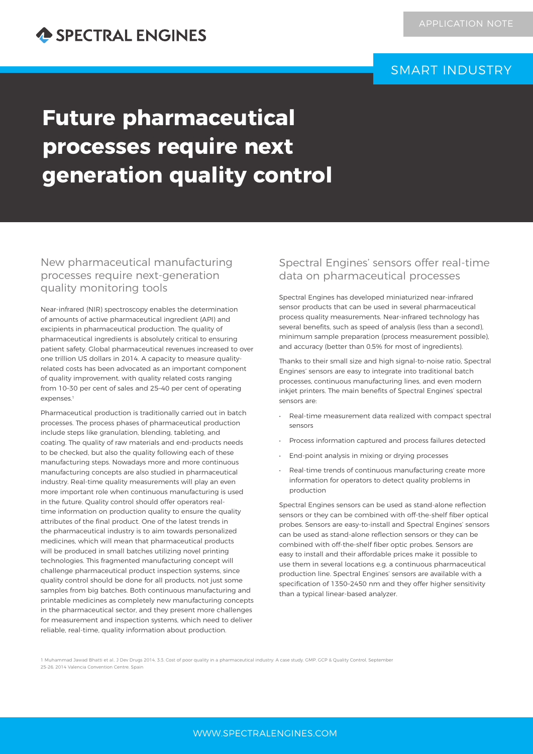## SMART INDUSTRY

# **Future pharmaceutical processes require next generation quality control**

New pharmaceutical manufacturing processes require next-generation quality monitoring tools

Near-infrared (NIR) spectroscopy enables the determination of amounts of active pharmaceutical ingredient (API) and excipients in pharmaceutical production. The quality of pharmaceutical ingredients is absolutely critical to ensuring patient safety. Global pharmaceutical revenues increased to over one trillion US dollars in 2014. A capacity to measure qualityrelated costs has been advocated as an important component of quality improvement, with quality related costs ranging from 10–30 per cent of sales and 25–40 per cent of operating expenses.<sup>1</sup>

Pharmaceutical production is traditionally carried out in batch processes. The process phases of pharmaceutical production include steps like granulation, blending, tableting, and coating. The quality of raw materials and end-products needs to be checked, but also the quality following each of these manufacturing steps. Nowadays more and more continuous manufacturing concepts are also studied in pharmaceutical industry. Real-time quality measurements will play an even more important role when continuous manufacturing is used in the future. Quality control should offer operators realtime information on production quality to ensure the quality attributes of the final product. One of the latest trends in the pharmaceutical industry is to aim towards personalized medicines, which will mean that pharmaceutical products will be produced in small batches utilizing novel printing technologies. This fragmented manufacturing concept will challenge pharmaceutical product inspection systems, since quality control should be done for all products, not just some samples from big batches. Both continuous manufacturing and printable medicines as completely new manufacturing concepts in the pharmaceutical sector, and they present more challenges for measurement and inspection systems, which need to deliver reliable, real-time, quality information about production.

## Spectral Engines' sensors offer real-time data on pharmaceutical processes

Spectral Engines has developed miniaturized near-infrared sensor products that can be used in several pharmaceutical process quality measurements. Near-infrared technology has several benefits, such as speed of analysis (less than a second), minimum sample preparation (process measurement possible), and accuracy (better than 0.5% for most of ingredients).

Thanks to their small size and high signal-to-noise ratio, Spectral Engines' sensors are easy to integrate into traditional batch processes, continuous manufacturing lines, and even modern inkjet printers. The main benefits of Spectral Engines' spectral sensors are:

- Real-time measurement data realized with compact spectral sensors
- Process information captured and process failures detected
- End-point analysis in mixing or drying processes
- Real-time trends of continuous manufacturing create more information for operators to detect quality problems in production

Spectral Engines sensors can be used as stand-alone reflection sensors or they can be combined with off-the-shelf fiber optical probes. Sensors are easy-to-install and Spectral Engines' sensors can be used as stand-alone reflection sensors or they can be combined with off-the-shelf fiber optic probes. Sensors are easy to install and their affordable prices make it possible to use them in several locations e.g. a continuous pharmaceutical production line. Spectral Engines' sensors are available with a specification of 1350–2450 nm and they offer higher sensitivity than a typical linear-based analyzer.

1 Muhammad Jawad Bhatti et al., J Dev Drugs 2014, 3:3; Cost of poor quality in a pharmaceutical industry: A case study, GMP, GCP & Quality Control, September 25-26, 2014 Valencia Convention Centre, Spain